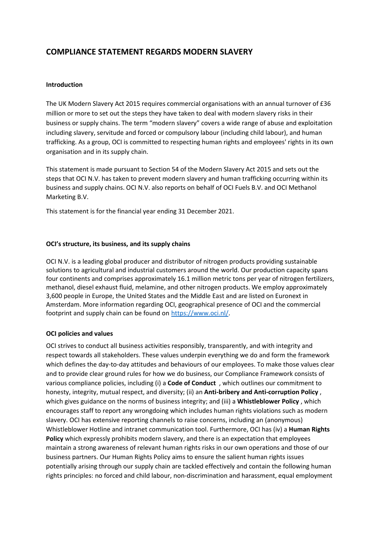# **COMPLIANCE STATEMENT REGARDS MODERN SLAVERY**

## **Introduction**

The UK Modern Slavery Act 2015 requires commercial organisations with an annual turnover of £36 million or more to set out the steps they have taken to deal with modern slavery risks in their business or supply chains. The term "modern slavery" covers a wide range of abuse and exploitation including slavery, servitude and forced or compulsory labour (including child labour), and human trafficking. As a group, OCI is committed to respecting human rights and employees' rights in its own organisation and in its supply chain.

This statement is made pursuant to Section 54 of the Modern Slavery Act 2015 and sets out the steps that OCI N.V. has taken to prevent modern slavery and human trafficking occurring within its business and supply chains. OCI N.V. also reports on behalf of OCI Fuels B.V. and OCI Methanol Marketing B.V.

This statement is for the financial year ending 31 December 2021.

# **OCI's structure, its business, and its supply chains**

OCI N.V. is a leading global producer and distributor of nitrogen products providing sustainable solutions to agricultural and industrial customers around the world. Our production capacity spans four continents and comprises approximately 16.1 million metric tons per year of nitrogen fertilizers, methanol, diesel exhaust fluid, melamine, and other nitrogen products. We employ approximately 3,600 people in Europe, the United States and the Middle East and are listed on Euronext in Amsterdam. More information regarding OCI, geographical presence of OCI and the commercial footprint and supply chain can be found on [https://www.oci.nl/.](https://www.oci.nl/)

## **OCI policies and values**

OCI strives to conduct all business activities responsibly, transparently, and with integrity and respect towards all stakeholders. These values underpin everything we do and form the framework which defines the day-to-day attitudes and behaviours of our employees. To make those values clear and to provide clear ground rules for how we do business, our Compliance Framework consists of various compliance policies, including (i) a **Code of Conduct** , which outlines our commitment to honesty, integrity, mutual respect, and diversity; (ii) an **Anti-bribery and Anti-corruption Policy** , which gives guidance on the norms of business integrity; and (iii) a **Whistleblower Policy** , which encourages staff to report any wrongdoing which includes human rights violations such as modern slavery. OCI has extensive reporting channels to raise concerns, including an (anonymous) Whistleblower Hotline and intranet communication tool. Furthermore, OCI has (iv) a **Human Rights Policy** which expressly prohibits modern slavery, and there is an expectation that employees maintain a strong awareness of relevant human rights risks in our own operations and those of our business partners. Our Human Rights Policy aims to ensure the salient human rights issues potentially arising through our supply chain are tackled effectively and contain the following human rights principles: no forced and child labour, non-discrimination and harassment, equal employment